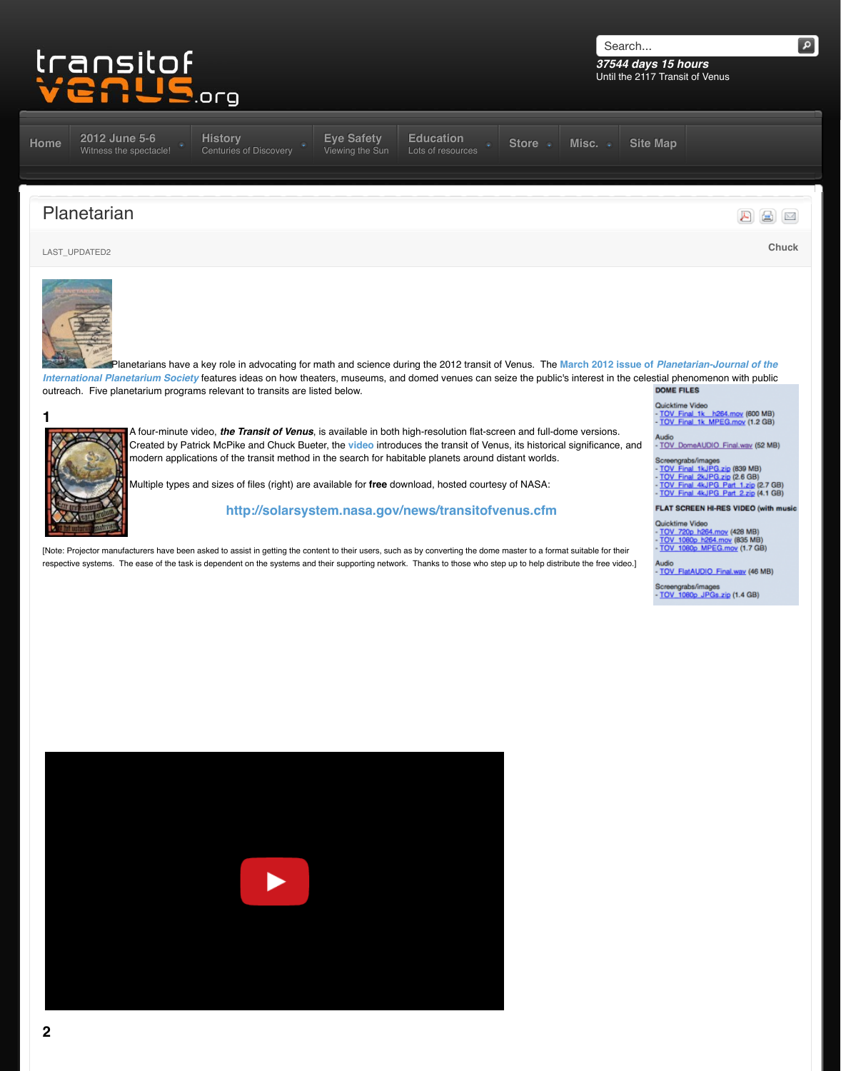

**1**

A four-minute video, *the Transit of Venus*, is available in both high-resolution flat-scre Created by Patrick McPike and Chuck Bueter, the **video** introduces the transit of Venu modern applications of the transit method in the search for habitable planets around d

Multiple types and sizes of files (right) are available for free download, hosted courtes

## http://solarsystem.nasa.gov/news/transitofve

[\[Note: P](http://www.transitofvenus.org/)[rojector manufacturers have been](http://www.transitofvenus.org/june2012) [asked to assist in getting the con](http://www.transitofvenus.org/history)[tent to their users, suc](http://www.transitofvenus.org/june2012/eye-safety)[h as by converting the dome](http://www.transitofvenus.org/education) respective systems. The ease of the task is dependent on the systems and their supporting network. Thanks to those who ste